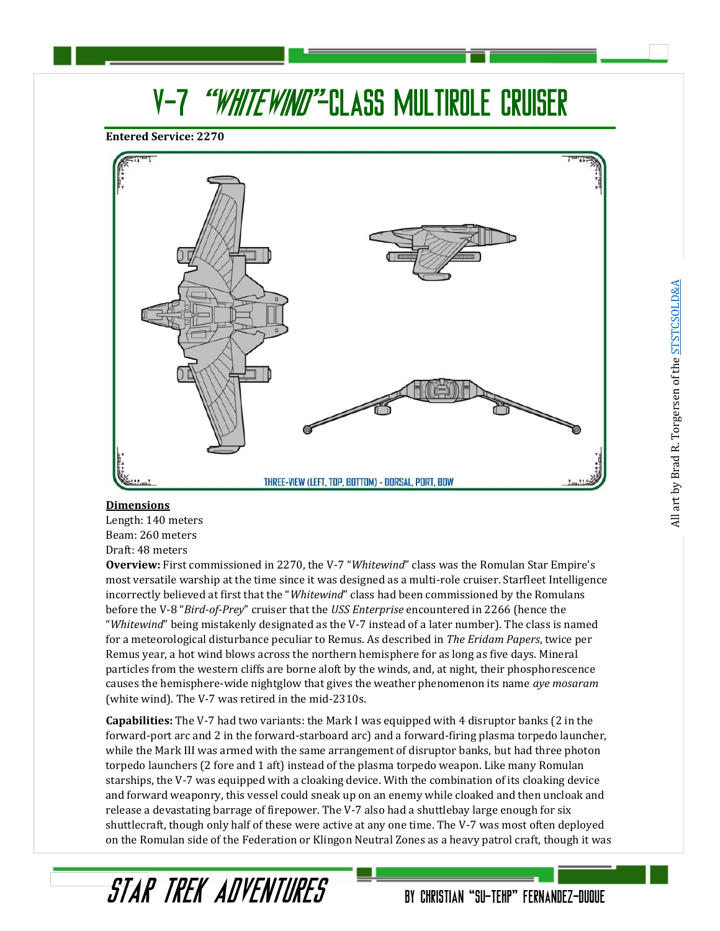# V-7 "WHITEWIND"-CLASS MULTIROLE CRUISER

**Entered Service: 2270**



#### **Dimensions**

Length: 140 meters Beam: 260 meters Draft: 48 meters

**Overview:** First commissioned in 2270, the V-7 "*Whitewind*" class was the Romulan Star Empire's most versatile warship at the time since it was designed as a multi-role cruiser. Starfleet Intelligence incorrectly believed at first that the "*Whitewind*" class had been commissioned by the Romulans before the V-8 "*Bird-of-Prey*" cruiser that the *USS Enterprise* encountered in 2266 (hence the "*Whitewind*" being mistakenly designated as the V-7 instead of a later number). The class is named for a meteorological disturbance peculiar to Remus. As described in *The Eridam Papers*, twice per Remus year, a hot wind blows across the northern hemisphere for as long as five days. Mineral particles from the western cliffs are borne aloft by the winds, and, at night, their phosphorescence causes the hemisphere-wide nightglow that gives the weather phenomenon its name *aye mosaram* (white wind). The V-7 was retired in the mid-2310s.

**Capabilities:** The V-7 had two variants: the Mark I was equipped with 4 disruptor banks (2 in the forward-port arc and 2 in the forward-starboard arc) and a forward-firing plasma torpedo launcher, while the Mark III was armed with the same arrangement of disruptor banks, but had three photon torpedo launchers (2 fore and 1 aft) instead of the plasma torpedo weapon. Like many Romulan starships, the V-7 was equipped with a cloaking device. With the combination of its cloaking device and forward weaponry, this vessel could sneak up on an enemy while cloaked and then uncloak and release a devastating barrage of firepower. The V-7 also had a shuttlebay large enough for six shuttlecraft, though only half of these were active at any one time. The V-7 was most often deployed on the Romulan side of the Federation or Klingon Neutral Zones as a heavy patrol craft, though it was

STAR TREK ADVENTURES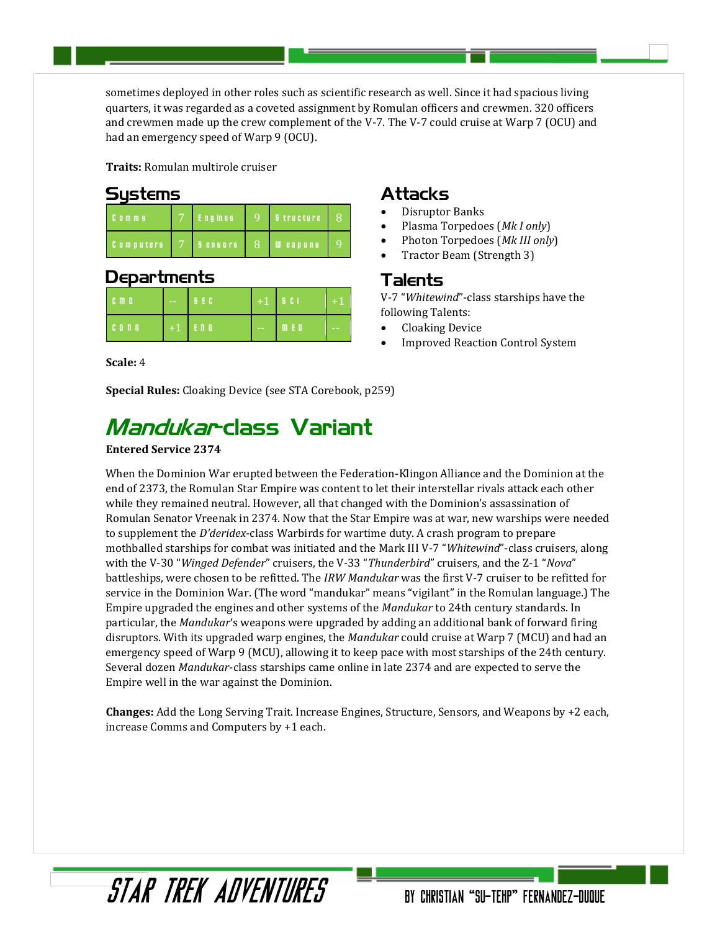sometimes deployed in other roles such as scientific research as well. Since it had spacious living quarters, it was regarded as a coveted assignment by Romulan officers and crewmen. 320 officers and crewmen made up the crew complement of the V-7. The V-7 could cruise at Warp 7 (OCU) and had an emergency speed of Warp 9 (OCU).

**Traits:** Romulan multirole cruiser

### **Sustems**

| $C_0$ m m s      | <b>Engines</b> | $\Omega$      | <b>B</b> tructure | ß' |
|------------------|----------------|---------------|-------------------|----|
| <b>Computers</b> | <b>Sensors</b> | $\mathcal{R}$ | <b>U</b> eapons   |    |

### Departments

| <b>CMD</b> | $\sim$ $\sim$ | <b>BECA</b> |            | $+1$ $\frac{1}{2}$ $\frac{1}{2}$ | $+1$          |
|------------|---------------|-------------|------------|----------------------------------|---------------|
| $C0$ n n   |               | $+1$ $F_0$  | $\sim$ $-$ | m e o                            | $\frac{1}{2}$ |

**Scale:** 4

## **Special Rules:** Cloaking Device (see STA Corebook, p259)

# Mandukar-class Variant

### **Entered Service 2374**

### When the Dominion War erupted between the Federation-Klingon Alliance and the Dominion at the end of 2373, the Romulan Star Empire was content to let their interstellar rivals attack each other while they remained neutral. However, all that changed with the Dominion's assassination of Romulan Senator Vreenak in 2374. Now that the Star Empire was at war, new warships were needed to supplement the *D'deridex*-class Warbirds for wartime duty. A crash program to prepare mothballed starships for combat was initiated and the Mark III V-7 "*Whitewind*"-class cruisers, along with the V-30 "*Winged Defender*" cruisers, the V-33 "*Thunderbird*" cruisers, and the Z-1 "*Nova*" battleships, were chosen to be refitted. The *IRW Mandukar* was the first V-7 cruiser to be refitted for service in the Dominion War. (The word "mandukar" means "vigilant" in the Romulan language.) The Empire upgraded the engines and other systems of the *Mandukar* to 24th century standards. In particular, the *Mandukar*'s weapons were upgraded by adding an additional bank of forward firing disruptors. With its upgraded warp engines, the *Mandukar* could cruise at Warp 7 (MCU) and had an emergency speed of Warp 9 (MCU), allowing it to keep pace with most starships of the 24th century. Several dozen *Mandukar*-class starships came online in late 2374 and are expected to serve the Empire well in the war against the Dominion.

**Changes:** Add the Long Serving Trait. Increase Engines, Structure, Sensors, and Weapons by +2 each, increase Comms and Computers by +1 each.

# Attacks

- Disruptor Banks
- Plasma Torpedoes (*Mk I only*)
- Photon Torpedoes (*Mk III only*)
- Tractor Beam (Strength 3)

### Talents

V-7 "*Whitewind*"-class starships have the following Talents:

- Cloaking Device
- Improved Reaction Control System

STAR TREK ADVENTURES